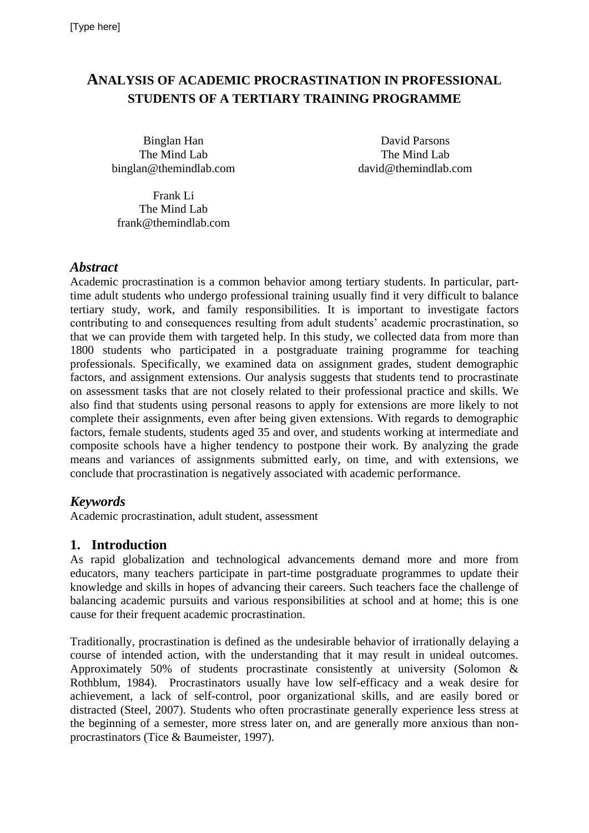# **ANALYSIS OF ACADEMIC PROCRASTINATION IN PROFESSIONAL STUDENTS OF A TERTIARY TRAINING PROGRAMME**

Binglan Han David Parsons The Mind Lab binglan@themindlab.com

The Mind Lab david@themindlab.com

Frank Li The Mind Lab frank@themindlab.com

#### *Abstract*

Academic procrastination is a common behavior among tertiary students. In particular, parttime adult students who undergo professional training usually find it very difficult to balance tertiary study, work, and family responsibilities. It is important to investigate factors contributing to and consequences resulting from adult students' academic procrastination, so that we can provide them with targeted help. In this study, we collected data from more than 1800 students who participated in a postgraduate training programme for teaching professionals. Specifically, we examined data on assignment grades, student demographic factors, and assignment extensions. Our analysis suggests that students tend to procrastinate on assessment tasks that are not closely related to their professional practice and skills. We also find that students using personal reasons to apply for extensions are more likely to not complete their assignments, even after being given extensions. With regards to demographic factors, female students, students aged 35 and over, and students working at intermediate and composite schools have a higher tendency to postpone their work. By analyzing the grade means and variances of assignments submitted early, on time, and with extensions, we conclude that procrastination is negatively associated with academic performance.

## *Keywords*

Academic procrastination, adult student, assessment

## **1. Introduction**

As rapid globalization and technological advancements demand more and more from educators, many teachers participate in part-time postgraduate programmes to update their knowledge and skills in hopes of advancing their careers. Such teachers face the challenge of balancing academic pursuits and various responsibilities at school and at home; this is one cause for their frequent academic procrastination.

Traditionally, procrastination is defined as the undesirable behavior of irrationally delaying a course of intended action, with the understanding that it may result in unideal outcomes. Approximately 50% of students procrastinate consistently at university (Solomon & Rothblum, 1984). Procrastinators usually have low self-efficacy and a weak desire for achievement, a lack of self-control, poor organizational skills, and are easily bored or distracted (Steel, 2007). Students who often procrastinate generally experience less stress at the beginning of a semester, more stress later on, and are generally more anxious than nonprocrastinators (Tice & Baumeister, 1997).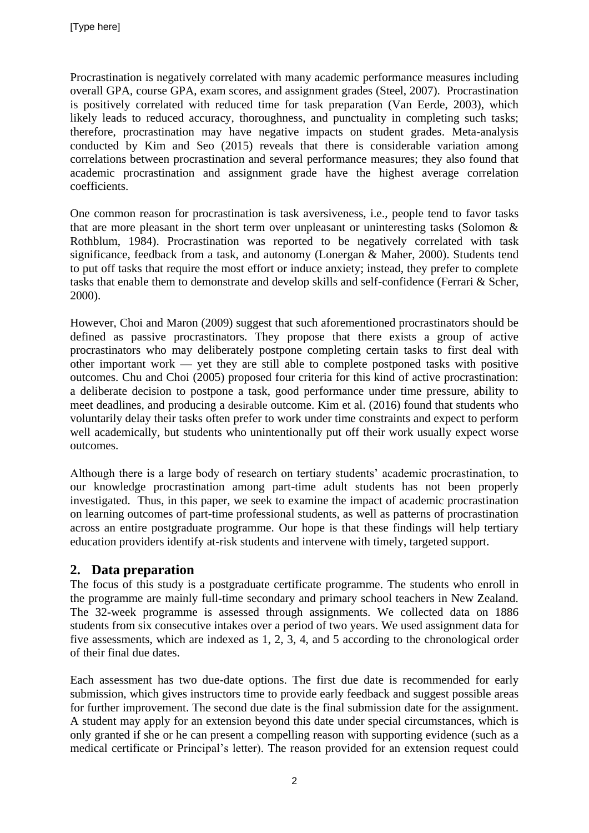Procrastination is negatively correlated with many academic performance measures including overall GPA, course GPA, exam scores, and assignment grades (Steel, 2007). Procrastination is positively correlated with reduced time for task preparation (Van Eerde, 2003), which likely leads to reduced accuracy, thoroughness, and punctuality in completing such tasks; therefore, procrastination may have negative impacts on student grades. Meta-analysis conducted by Kim and Seo (2015) reveals that there is considerable variation among correlations between procrastination and several performance measures; they also found that academic procrastination and assignment grade have the highest average correlation coefficients.

One common reason for procrastination is task aversiveness, i.e., people tend to favor tasks that are more pleasant in the short term over unpleasant or uninteresting tasks (Solomon & Rothblum, 1984). Procrastination was reported to be negatively correlated with task significance, feedback from a task, and autonomy (Lonergan & Maher, 2000). Students tend to put off tasks that require the most effort or induce anxiety; instead, they prefer to complete tasks that enable them to demonstrate and develop skills and self-confidence (Ferrari & Scher, 2000).

However, Choi and Maron (2009) suggest that such aforementioned procrastinators should be defined as passive procrastinators. They propose that there exists a group of active procrastinators who may deliberately postpone completing certain tasks to first deal with other important work — yet they are still able to complete postponed tasks with positive outcomes. Chu and Choi (2005) proposed four criteria for this kind of active procrastination: a deliberate decision to postpone a task, good performance under time pressure, ability to meet deadlines, and producing a desirable outcome. Kim et al. (2016) found that students who voluntarily delay their tasks often prefer to work under time constraints and expect to perform well academically, but students who unintentionally put off their work usually expect worse outcomes.

Although there is a large body of research on tertiary students' academic procrastination, to our knowledge procrastination among part-time adult students has not been properly investigated. Thus, in this paper, we seek to examine the impact of academic procrastination on learning outcomes of part-time professional students, as well as patterns of procrastination across an entire postgraduate programme. Our hope is that these findings will help tertiary education providers identify at-risk students and intervene with timely, targeted support.

## **2. Data preparation**

The focus of this study is a postgraduate certificate programme. The students who enroll in the programme are mainly full-time secondary and primary school teachers in New Zealand. The 32-week programme is assessed through assignments. We collected data on 1886 students from six consecutive intakes over a period of two years. We used assignment data for five assessments, which are indexed as 1, 2, 3, 4, and 5 according to the chronological order of their final due dates.

Each assessment has two due-date options. The first due date is recommended for early submission, which gives instructors time to provide early feedback and suggest possible areas for further improvement. The second due date is the final submission date for the assignment. A student may apply for an extension beyond this date under special circumstances, which is only granted if she or he can present a compelling reason with supporting evidence (such as a medical certificate or Principal's letter). The reason provided for an extension request could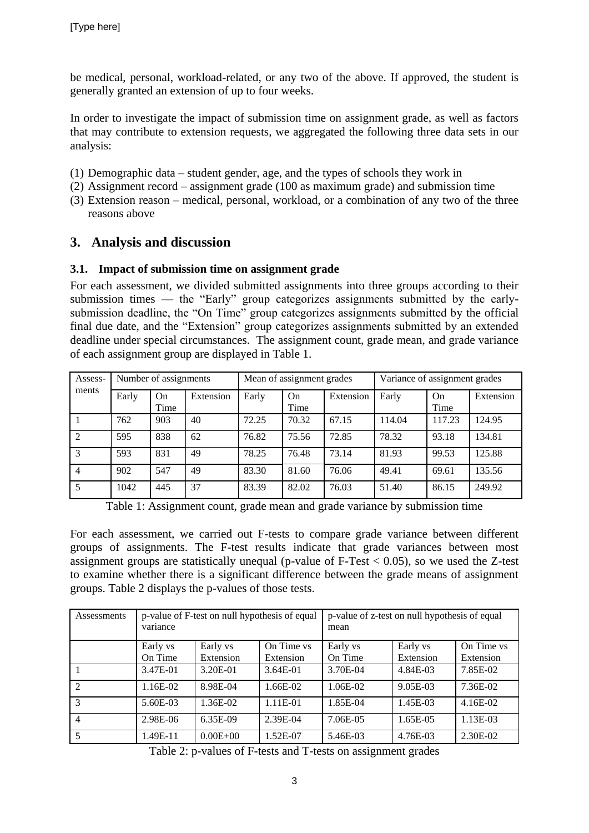be medical, personal, workload-related, or any two of the above. If approved, the student is generally granted an extension of up to four weeks.

In order to investigate the impact of submission time on assignment grade, as well as factors that may contribute to extension requests, we aggregated the following three data sets in our analysis:

- (1) Demographic data student gender, age, and the types of schools they work in
- (2) Assignment record assignment grade (100 as maximum grade) and submission time
- (3) Extension reason medical, personal, workload, or a combination of any two of the three reasons above

## **3. Analysis and discussion**

#### **3.1. Impact of submission time on assignment grade**

For each assessment, we divided submitted assignments into three groups according to their submission times — the "Early" group categorizes assignments submitted by the earlysubmission deadline, the "On Time" group categorizes assignments submitted by the official final due date, and the "Extension" group categorizes assignments submitted by an extended deadline under special circumstances. The assignment count, grade mean, and grade variance of each assignment group are displayed in Table 1.

| Assess-<br>ments | Number of assignments |            |           | Mean of assignment grades |            |           | Variance of assignment grades |            |           |
|------------------|-----------------------|------------|-----------|---------------------------|------------|-----------|-------------------------------|------------|-----------|
|                  | Early                 | On<br>Time | Extension | Early                     | On<br>Time | Extension | Early                         | On<br>Time | Extension |
|                  | 762                   | 903        | 40        | 72.25                     | 70.32      | 67.15     | 114.04                        | 117.23     | 124.95    |
| $\mathfrak{D}$   | 595                   | 838        | 62        | 76.82                     | 75.56      | 72.85     | 78.32                         | 93.18      | 134.81    |
| 3                | 593                   | 831        | 49        | 78.25                     | 76.48      | 73.14     | 81.93                         | 99.53      | 125.88    |
| $\overline{4}$   | 902                   | 547        | 49        | 83.30                     | 81.60      | 76.06     | 49.41                         | 69.61      | 135.56    |
| 5                | 1042                  | 445        | 37        | 83.39                     | 82.02      | 76.03     | 51.40                         | 86.15      | 249.92    |

Table 1: Assignment count, grade mean and grade variance by submission time

For each assessment, we carried out F-tests to compare grade variance between different groups of assignments. The F-test results indicate that grade variances between most assignment groups are statistically unequal (p-value of  $F-Test < 0.05$ ), so we used the Z-test to examine whether there is a significant difference between the grade means of assignment groups. Table 2 displays the p-values of those tests.

| Assessments    | variance   | p-value of F-test on null hypothesis of equal |            | p-value of z-test on null hypothesis of equal<br>mean |           |            |
|----------------|------------|-----------------------------------------------|------------|-------------------------------------------------------|-----------|------------|
|                | Early vs   | Early vs                                      | On Time vs | Early vs                                              | Early vs  | On Time vs |
|                | On Time    | Extension                                     | Extension  | On Time                                               | Extension | Extension  |
|                | 3.47E-01   | 3.20E-01                                      | 3.64E-01   | 3.70E-04                                              | 4.84E-03  | 7.85E-02   |
| $\overline{2}$ | $1.16E-02$ | 8.98E-04                                      | 1.66E-02   | 1.06E-02                                              | 9.05E-03  | 7.36E-02   |
| 3              | 5.60E-03   | 1.36E-02                                      | $1.11E-01$ | 1.85E-04                                              | 1.45E-03  | 4.16E-02   |
| $\overline{4}$ | 2.98E-06   | 6.35E-09                                      | 2.39E-04   | 7.06E-05                                              | 1.65E-05  | 1.13E-03   |
|                | 1.49E-11   | $0.00E + 00$                                  | 1.52E-07   | 5.46E-03                                              | 4.76E-03  | 2.30E-02   |

Table 2: p-values of F-tests and T-tests on assignment grades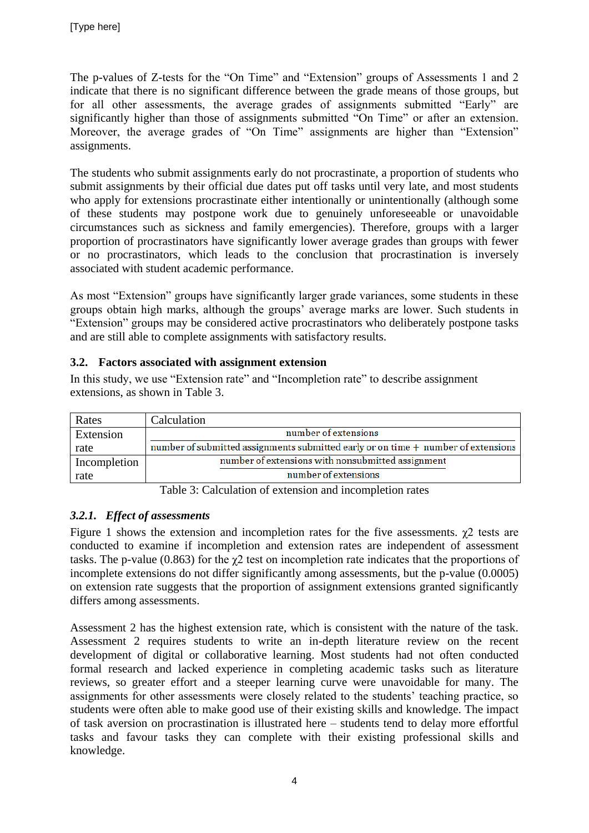The p-values of Z-tests for the "On Time" and "Extension" groups of Assessments 1 and 2 indicate that there is no significant difference between the grade means of those groups, but for all other assessments, the average grades of assignments submitted "Early" are significantly higher than those of assignments submitted "On Time" or after an extension. Moreover, the average grades of "On Time" assignments are higher than "Extension" assignments.

The students who submit assignments early do not procrastinate, a proportion of students who submit assignments by their official due dates put off tasks until very late, and most students who apply for extensions procrastinate either intentionally or unintentionally (although some of these students may postpone work due to genuinely unforeseeable or unavoidable circumstances such as sickness and family emergencies). Therefore, groups with a larger proportion of procrastinators have significantly lower average grades than groups with fewer or no procrastinators, which leads to the conclusion that procrastination is inversely associated with student academic performance.

As most "Extension" groups have significantly larger grade variances, some students in these groups obtain high marks, although the groups' average marks are lower. Such students in "Extension" groups may be considered active procrastinators who deliberately postpone tasks and are still able to complete assignments with satisfactory results.

#### **3.2. Factors associated with assignment extension**

In this study, we use "Extension rate" and "Incompletion rate" to describe assignment extensions, as shown in Table 3.

| Rates        | Calculation                                                                       |
|--------------|-----------------------------------------------------------------------------------|
| Extension    | number of extensions                                                              |
| rate         | number of submitted assignments submitted early or on time + number of extensions |
| Incompletion | number of extensions with nonsubmitted assignment                                 |
| rate         | number of extensions                                                              |

Table 3: Calculation of extension and incompletion rates

## *3.2.1. Effect of assessments*

Figure 1 shows the extension and incompletion rates for the five assessments.  $\chi$ 2 tests are conducted to examine if incompletion and extension rates are independent of assessment tasks. The p-value (0.863) for the  $\gamma$ 2 test on incompletion rate indicates that the proportions of incomplete extensions do not differ significantly among assessments, but the p-value (0.0005) on extension rate suggests that the proportion of assignment extensions granted significantly differs among assessments.

Assessment 2 has the highest extension rate, which is consistent with the nature of the task. Assessment 2 requires students to write an in-depth literature review on the recent development of digital or collaborative learning. Most students had not often conducted formal research and lacked experience in completing academic tasks such as literature reviews, so greater effort and a steeper learning curve were unavoidable for many. The assignments for other assessments were closely related to the students' teaching practice, so students were often able to make good use of their existing skills and knowledge. The impact of task aversion on procrastination is illustrated here – students tend to delay more effortful tasks and favour tasks they can complete with their existing professional skills and knowledge.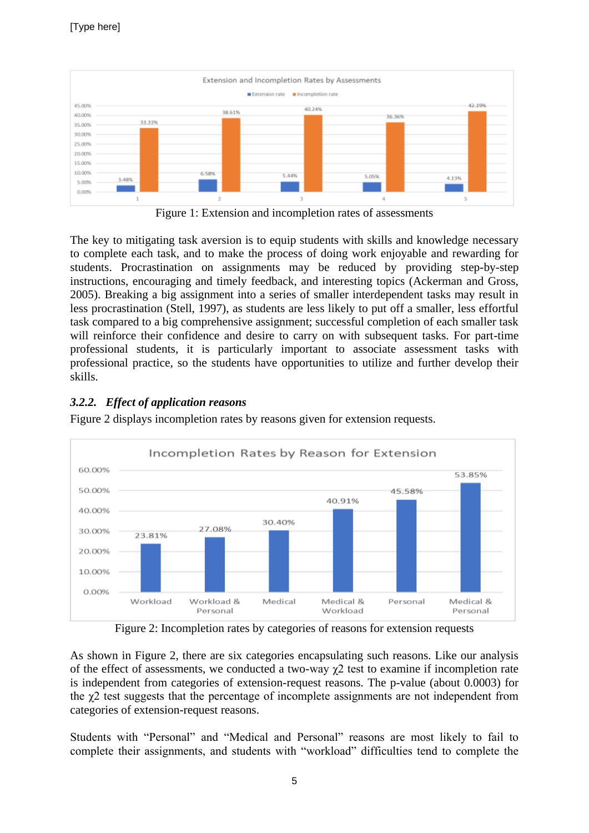

Figure 1: Extension and incompletion rates of assessments

The key to mitigating task aversion is to equip students with skills and knowledge necessary to complete each task, and to make the process of doing work enjoyable and rewarding for students. Procrastination on assignments may be reduced by providing step-by-step instructions, encouraging and timely feedback, and interesting topics (Ackerman and Gross, 2005). Breaking a big assignment into a series of smaller interdependent tasks may result in less procrastination (Stell, 1997), as students are less likely to put off a smaller, less effortful task compared to a big comprehensive assignment; successful completion of each smaller task will reinforce their confidence and desire to carry on with subsequent tasks. For part-time professional students, it is particularly important to associate assessment tasks with professional practice, so the students have opportunities to utilize and further develop their skills.

## *3.2.2. Effect of application reasons*

Figure 2 displays incompletion rates by reasons given for extension requests.



Figure 2: Incompletion rates by categories of reasons for extension requests

As shown in Figure 2, there are six categories encapsulating such reasons. Like our analysis of the effect of assessments, we conducted a two-way  $\chi$ 2 test to examine if incompletion rate is independent from categories of extension-request reasons. The p-value (about 0.0003) for the  $\gamma$ 2 test suggests that the percentage of incomplete assignments are not independent from categories of extension-request reasons.

Students with "Personal" and "Medical and Personal" reasons are most likely to fail to complete their assignments, and students with "workload" difficulties tend to complete the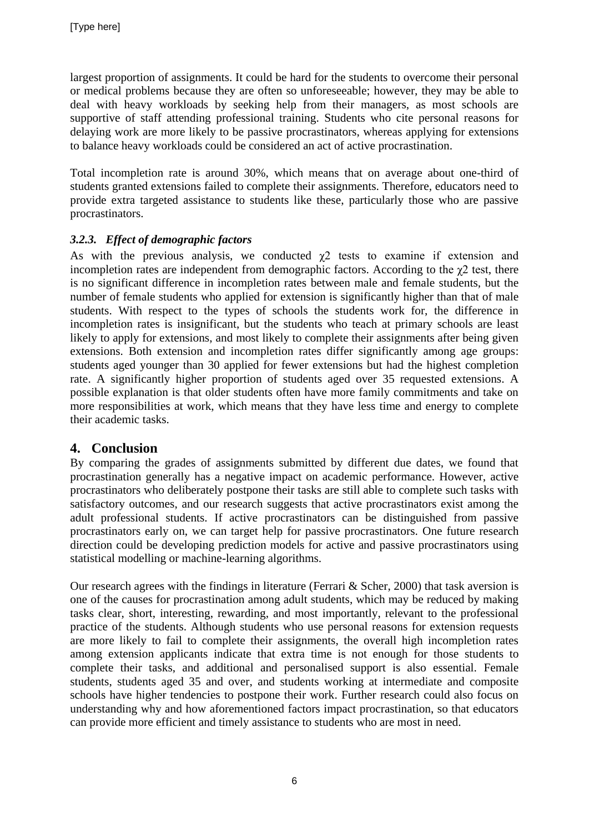largest proportion of assignments. It could be hard for the students to overcome their personal or medical problems because they are often so unforeseeable; however, they may be able to deal with heavy workloads by seeking help from their managers, as most schools are supportive of staff attending professional training. Students who cite personal reasons for delaying work are more likely to be passive procrastinators, whereas applying for extensions to balance heavy workloads could be considered an act of active procrastination.

Total incompletion rate is around 30%, which means that on average about one-third of students granted extensions failed to complete their assignments. Therefore, educators need to provide extra targeted assistance to students like these, particularly those who are passive procrastinators.

## *3.2.3. Effect of demographic factors*

As with the previous analysis, we conducted  $\chi$ 2 tests to examine if extension and incompletion rates are independent from demographic factors. According to the  $\gamma$ 2 test, there is no significant difference in incompletion rates between male and female students, but the number of female students who applied for extension is significantly higher than that of male students. With respect to the types of schools the students work for, the difference in incompletion rates is insignificant, but the students who teach at primary schools are least likely to apply for extensions, and most likely to complete their assignments after being given extensions. Both extension and incompletion rates differ significantly among age groups: students aged younger than 30 applied for fewer extensions but had the highest completion rate. A significantly higher proportion of students aged over 35 requested extensions. A possible explanation is that older students often have more family commitments and take on more responsibilities at work, which means that they have less time and energy to complete their academic tasks.

## **4. Conclusion**

By comparing the grades of assignments submitted by different due dates, we found that procrastination generally has a negative impact on academic performance. However, active procrastinators who deliberately postpone their tasks are still able to complete such tasks with satisfactory outcomes, and our research suggests that active procrastinators exist among the adult professional students. If active procrastinators can be distinguished from passive procrastinators early on, we can target help for passive procrastinators. One future research direction could be developing prediction models for active and passive procrastinators using statistical modelling or machine-learning algorithms.

Our research agrees with the findings in literature (Ferrari & Scher, 2000) that task aversion is one of the causes for procrastination among adult students, which may be reduced by making tasks clear, short, interesting, rewarding, and most importantly, relevant to the professional practice of the students. Although students who use personal reasons for extension requests are more likely to fail to complete their assignments, the overall high incompletion rates among extension applicants indicate that extra time is not enough for those students to complete their tasks, and additional and personalised support is also essential. Female students, students aged 35 and over, and students working at intermediate and composite schools have higher tendencies to postpone their work. Further research could also focus on understanding why and how aforementioned factors impact procrastination, so that educators can provide more efficient and timely assistance to students who are most in need.